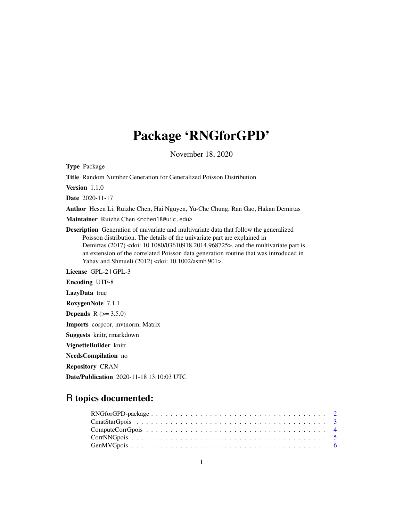# Package 'RNGforGPD'

November 18, 2020

Type Package Title Random Number Generation for Generalized Poisson Distribution Version 1.1.0 Date 2020-11-17 Author Hesen Li, Ruizhe Chen, Hai Nguyen, Yu-Che Chung, Ran Gao, Hakan Demirtas Maintainer Ruizhe Chen <rchen18@uic.edu> Description Generation of univariate and multivariate data that follow the generalized Poisson distribution. The details of the univariate part are explained in Demirtas (2017) <doi: 10.1080/03610918.2014.968725>, and the multivariate part is an extension of the correlated Poisson data generation routine that was introduced in Yahav and Shmueli (2012) <doi: 10.1002/asmb.901>. License GPL-2 | GPL-3 Encoding UTF-8 LazyData true RoxygenNote 7.1.1 **Depends**  $R (= 3.5.0)$ Imports corpcor, mvtnorm, Matrix Suggests knitr, rmarkdown VignetteBuilder knitr NeedsCompilation no Repository CRAN

# R topics documented:

Date/Publication 2020-11-18 13:10:03 UTC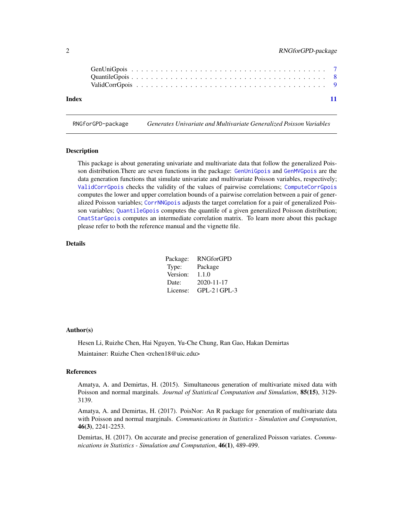<span id="page-1-0"></span>

| Index |  |  |  |  |  |  |  |  |  |  |  |  |  |  |  |  |  |
|-------|--|--|--|--|--|--|--|--|--|--|--|--|--|--|--|--|--|

RNGforGPD-package *Generates Univariate and Multivariate Generalized Poisson Variables*

#### **Description**

This package is about generating univariate and multivariate data that follow the generalized Poisson distribution.There are seven functions in the package: [GenUniGpois](#page-6-1) and [GenMVGpois](#page-5-1) are the data generation functions that simulate univariate and multivariate Poisson variables, respectively; [ValidCorrGpois](#page-8-1) checks the validity of the values of pairwise correlations; [ComputeCorrGpois](#page-3-1) computes the lower and upper correlation bounds of a pairwise correlation between a pair of generalized Poisson variables; [CorrNNGpois](#page-4-1) adjusts the target correlation for a pair of generalized Poisson variables; [QuantileGpois](#page-7-1) computes the quantile of a given generalized Poisson distribution; [CmatStarGpois](#page-2-1) computes an intermediate correlation matrix. To learn more about this package please refer to both the reference manual and the vignette file.

# Details

| Package: | <b>RNGforGPD</b> |
|----------|------------------|
| Type:    | Package          |
| Version: | 1.1.0            |
| Date:    | $2020 - 11 - 17$ |
| License: | $GPL-2$ $GPL-3$  |

#### Author(s)

Hesen Li, Ruizhe Chen, Hai Nguyen, Yu-Che Chung, Ran Gao, Hakan Demirtas Maintainer: Ruizhe Chen <rchen18@uic.edu>

#### References

Amatya, A. and Demirtas, H. (2015). Simultaneous generation of multivariate mixed data with Poisson and normal marginals. *Journal of Statistical Computation and Simulation*, 85(15), 3129- 3139.

Amatya, A. and Demirtas, H. (2017). PoisNor: An R package for generation of multivariate data with Poisson and normal marginals. *Communications in Statistics - Simulation and Computation*, 46(3), 2241-2253.

Demirtas, H. (2017). On accurate and precise generation of generalized Poisson variates. *Communications in Statistics - Simulation and Computation*, 46(1), 489-499.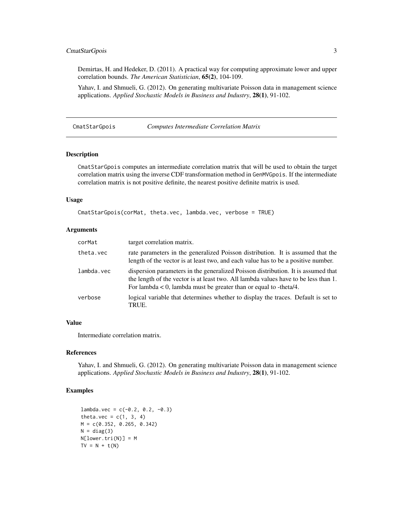# <span id="page-2-0"></span>CmatStarGpois 3

Demirtas, H. and Hedeker, D. (2011). A practical way for computing approximate lower and upper correlation bounds. *The American Statistician*, 65(2), 104-109.

Yahav, I. and Shmueli, G. (2012). On generating multivariate Poisson data in management science applications. *Applied Stochastic Models in Business and Industry*, 28(1), 91-102.

<span id="page-2-1"></span>CmatStarGpois *Computes Intermediate Correlation Matrix*

#### Description

CmatStarGpois computes an intermediate correlation matrix that will be used to obtain the target correlation matrix using the inverse CDF transformation method in GenMVGpois. If the intermediate correlation matrix is not positive definite, the nearest positive definite matrix is used.

#### Usage

```
CmatStarGpois(corMat, theta.vec, lambda.vec, verbose = TRUE)
```
#### Arguments

| corMat     | target correlation matrix.                                                                                                                                                                                                                         |
|------------|----------------------------------------------------------------------------------------------------------------------------------------------------------------------------------------------------------------------------------------------------|
| theta.vec  | rate parameters in the generalized Poisson distribution. It is assumed that the<br>length of the vector is at least two, and each value has to be a positive number.                                                                               |
| lambda.vec | dispersion parameters in the generalized Poisson distribution. It is assumed that<br>the length of the vector is at least two. All lambda values have to be less than 1.<br>For lambda $\lt 0$ , lambda must be greater than or equal to -theta/4. |
| verbose    | logical variable that determines whether to display the traces. Default is set to<br>TRUE.                                                                                                                                                         |

#### Value

Intermediate correlation matrix.

#### References

Yahav, I. and Shmueli, G. (2012). On generating multivariate Poisson data in management science applications. *Applied Stochastic Models in Business and Industry*, 28(1), 91-102.

```
lambda.vec = c(-0.2, 0.2, -0.3)theta.vec = c(1, 3, 4)M = c(0.352, 0.265, 0.342)
N = diag(3)N[lower.tri(N)] = M
TV = N + t(N)
```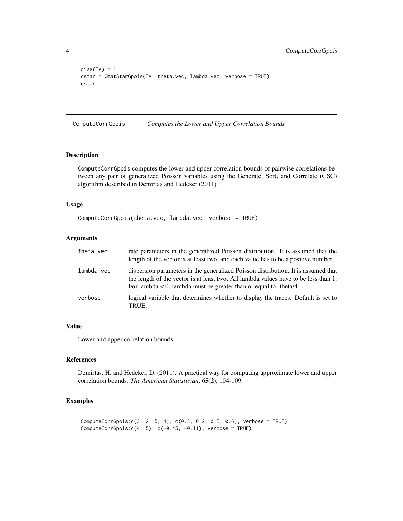```
diag(TV) = 1cstar = CmatStarGpois(TV, theta.vec, lambda.vec, verbose = TRUE)
cstar
```
<span id="page-3-1"></span>ComputeCorrGpois *Computes the Lower and Upper Correlation Bounds*

# Description

ComputeCorrGpois computes the lower and upper correlation bounds of pairwise correlations between any pair of generalized Poisson variables using the Generate, Sort, and Correlate (GSC) algorithm described in Demirtas and Hedeker (2011).

#### Usage

```
ComputeCorrGpois(theta.vec, lambda.vec, verbose = TRUE)
```
# Arguments

| theta.vec  | rate parameters in the generalized Poisson distribution. It is assumed that the<br>length of the vector is at least two, and each value has to be a positive number.                                                                               |
|------------|----------------------------------------------------------------------------------------------------------------------------------------------------------------------------------------------------------------------------------------------------|
| lambda.vec | dispersion parameters in the generalized Poisson distribution. It is assumed that<br>the length of the vector is at least two. All lambda values have to be less than 1.<br>For lambda $\lt 0$ , lambda must be greater than or equal to -theta/4. |
| verbose    | logical variable that determines whether to display the traces. Default is set to<br>TRUE.                                                                                                                                                         |

# Value

Lower and upper correlation bounds.

#### References

Demirtas, H. and Hedeker, D. (2011). A practical way for computing approximate lower and upper correlation bounds. *The American Statistician*, 65(2), 104-109.

```
ComputeCorrGpois(c(3, 2, 5, 4), c(0.3, 0.2, 0.5, 0.6), verbose = TRUE)ComputeCorrGpois(c(4, 5), c(-0.45, -0.11), verbose = TRUE)
```
<span id="page-3-0"></span>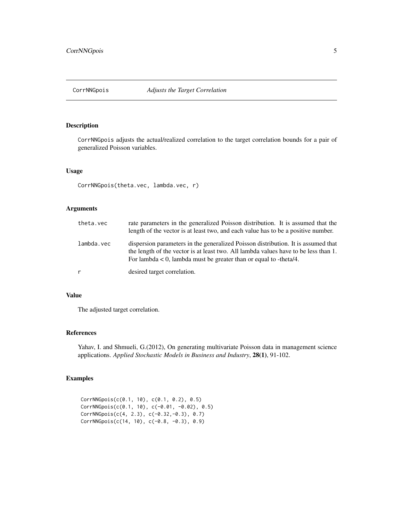<span id="page-4-1"></span><span id="page-4-0"></span>

# Description

CorrNNGpois adjusts the actual/realized correlation to the target correlation bounds for a pair of generalized Poisson variables.

#### Usage

CorrNNGpois(theta.vec, lambda.vec, r)

# Arguments

| theta.vec  | rate parameters in the generalized Poisson distribution. It is assumed that the<br>length of the vector is at least two, and each value has to be a positive number.                                                                             |
|------------|--------------------------------------------------------------------------------------------------------------------------------------------------------------------------------------------------------------------------------------------------|
| lambda.vec | dispersion parameters in the generalized Poisson distribution. It is assumed that<br>the length of the vector is at least two. All lambda values have to be less than 1.<br>For lambda $< 0$ , lambda must be greater than or equal to -theta/4. |
| r          | desired target correlation.                                                                                                                                                                                                                      |

#### Value

The adjusted target correlation.

# References

Yahav, I. and Shmueli, G.(2012), On generating multivariate Poisson data in management science applications. *Applied Stochastic Models in Business and Industry*, 28(1), 91-102.

```
CorrNNGpois(c(0.1, 10), c(0.1, 0.2), 0.5)
CorrNNGpois(c(0.1, 10), c(-0.01, -0.02), 0.5)
CorrNNGpois(c(4, 2.3), c(-0.32,-0.3), 0.7)
CorrNNGpois(c(14, 10), c(-0.8, -0.3), 0.9)
```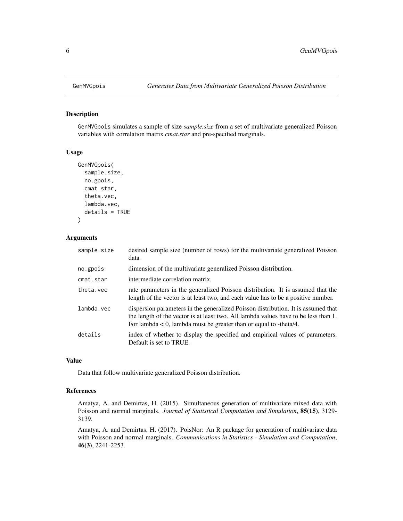<span id="page-5-1"></span><span id="page-5-0"></span>

#### Description

GenMVGpois simulates a sample of size *sample.size* from a set of multivariate generalized Poisson variables with correlation matrix *cmat.star* and pre-specified marginals.

#### Usage

```
GenMVGpois(
  sample.size,
  no.gpois,
  cmat.star,
  theta.vec,
  lambda.vec,
  details = TRUE
)
```
#### Arguments

| sample.size | desired sample size (number of rows) for the multivariate generalized Poisson<br>data                                                                                                                                                              |
|-------------|----------------------------------------------------------------------------------------------------------------------------------------------------------------------------------------------------------------------------------------------------|
| no.gpois    | dimension of the multivariate generalized Poisson distribution.                                                                                                                                                                                    |
| cmat.star   | intermediate correlation matrix.                                                                                                                                                                                                                   |
| theta.vec   | rate parameters in the generalized Poisson distribution. It is assumed that the<br>length of the vector is at least two, and each value has to be a positive number.                                                                               |
| lambda.vec  | dispersion parameters in the generalized Poisson distribution. It is assumed that<br>the length of the vector is at least two. All lambda values have to be less than 1.<br>For lambda $\lt 0$ , lambda must be greater than or equal to -theta/4. |
| details     | index of whether to display the specified and empirical values of parameters.<br>Default is set to TRUE.                                                                                                                                           |

#### Value

Data that follow multivariate generalized Poisson distribution.

#### References

Amatya, A. and Demirtas, H. (2015). Simultaneous generation of multivariate mixed data with Poisson and normal marginals. *Journal of Statistical Computation and Simulation*, 85(15), 3129- 3139.

Amatya, A. and Demirtas, H. (2017). PoisNor: An R package for generation of multivariate data with Poisson and normal marginals. *Communications in Statistics - Simulation and Computation*, 46(3), 2241-2253.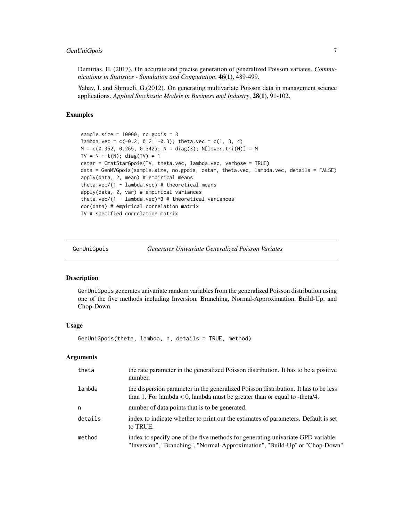<span id="page-6-0"></span>Demirtas, H. (2017). On accurate and precise generation of generalized Poisson variates. *Communications in Statistics - Simulation and Computation*, 46(1), 489-499.

Yahav, I. and Shmueli, G.(2012). On generating multivariate Poisson data in management science applications. *Applied Stochastic Models in Business and Industry*, 28(1), 91-102.

#### Examples

```
sample.size = 10000; no.gpois = 3
lambda.vec = c(-0.2, 0.2, -0.3); theta.vec = c(1, 3, 4)M = c(0.352, 0.265, 0.342); N = diag(3); N[lower.tri(N)] = MTV = N + t(N); diag(TV) = 1cstar = CmatStarGpois(TV, theta.vec, lambda.vec, verbose = TRUE)
data = GenMVGpois(sample.size, no.gpois, cstar, theta.vec, lambda.vec, details = FALSE)
apply(data, 2, mean) # empirical means
theta.vec/(1 - lambda.vec) # theoretical means
apply(data, 2, var) # empirical variances
theta.vec/(1 - lambda.vec)^3 # theoretical variances
cor(data) # empirical correlation matrix
TV # specified correlation matrix
```
<span id="page-6-1"></span>GenUniGpois *Generates Univariate Generalized Poisson Variates*

# **Description**

GenUniGpois generates univariate random variables from the generalized Poisson distribution using one of the five methods including Inversion, Branching, Normal-Approximation, Build-Up, and Chop-Down.

#### Usage

GenUniGpois(theta, lambda, n, details = TRUE, method)

#### Arguments

| theta   | the rate parameter in the generalized Poisson distribution. It has to be a positive<br>number.                                                                      |
|---------|---------------------------------------------------------------------------------------------------------------------------------------------------------------------|
| lambda  | the dispersion parameter in the generalized Poisson distribution. It has to be less<br>than 1. For lambda $< 0$ , lambda must be greater than or equal to -theta/4. |
| n       | number of data points that is to be generated.                                                                                                                      |
| details | index to indicate whether to print out the estimates of parameters. Default is set<br>to TRUE.                                                                      |
| method  | index to specify one of the five methods for generating univariate GPD variable:<br>"Inversion", "Branching", "Normal-Approximation", "Build-Up" or "Chop-Down".    |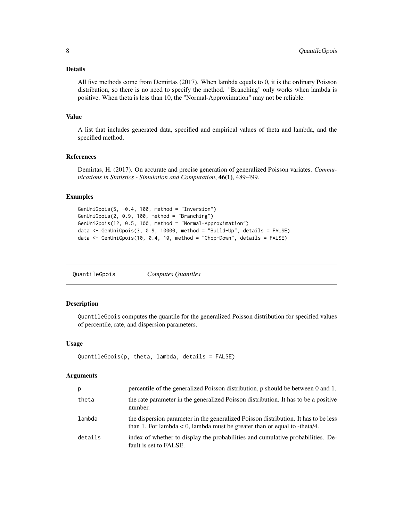#### <span id="page-7-0"></span>Details

All five methods come from Demirtas (2017). When lambda equals to 0, it is the ordinary Poisson distribution, so there is no need to specify the method. "Branching" only works when lambda is positive. When theta is less than 10, the "Normal-Approximation" may not be reliable.

#### Value

A list that includes generated data, specified and empirical values of theta and lambda, and the specified method.

#### References

Demirtas, H. (2017). On accurate and precise generation of generalized Poisson variates. *Communications in Statistics - Simulation and Computation*, 46(1), 489-499.

#### Examples

```
GenUniGpois(5, -0.4, 100, method = "Inversion")
GenUniGpois(2, 0.9, 100, method = "Branching")
GenUniGpois(12, 0.5, 100, method = "Normal-Approximation")
data <- GenUniGpois(3, 0.9, 10000, method = "Build-Up", details = FALSE)
data <- GenUniGpois(10, 0.4, 10, method = "Chop-Down", details = FALSE)
```
<span id="page-7-1"></span>

# **Description**

QuantileGpois computes the quantile for the generalized Poisson distribution for specified values of percentile, rate, and dispersion parameters.

#### Usage

```
QuantileGpois(p, theta, lambda, details = FALSE)
```
#### Arguments

| p       | percentile of the generalized Poisson distribution, p should be between 0 and 1.                                                                                    |
|---------|---------------------------------------------------------------------------------------------------------------------------------------------------------------------|
| theta   | the rate parameter in the generalized Poisson distribution. It has to be a positive<br>number.                                                                      |
| lambda  | the dispersion parameter in the generalized Poisson distribution. It has to be less<br>than 1. For lambda $< 0$ , lambda must be greater than or equal to -theta/4. |
| details | index of whether to display the probabilities and cumulative probabilities. De-<br>fault is set to FALSE.                                                           |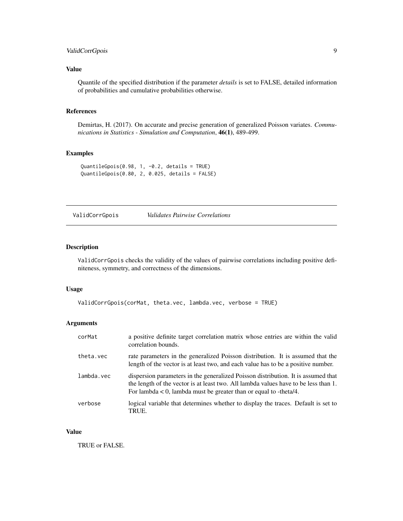# <span id="page-8-0"></span>ValidCorrGpois 9

# Value

Quantile of the specified distribution if the parameter *details* is set to FALSE, detailed information of probabilities and cumulative probabilities otherwise.

#### References

Demirtas, H. (2017). On accurate and precise generation of generalized Poisson variates. *Communications in Statistics - Simulation and Computation*, 46(1), 489-499.

# Examples

```
QuantileGpois(0.98, 1, -0.2, details = TRUE)
QuantileGpois(0.80, 2, 0.025, details = FALSE)
```
<span id="page-8-1"></span>ValidCorrGpois *Validates Pairwise Correlations*

#### Description

ValidCorrGpois checks the validity of the values of pairwise correlations including positive definiteness, symmetry, and correctness of the dimensions.

#### Usage

```
ValidCorrGpois(corMat, theta.vec, lambda.vec, verbose = TRUE)
```
# Arguments

| corMat     | a positive definite target correlation matrix whose entries are within the valid<br>correlation bounds.                                                                                                                                            |
|------------|----------------------------------------------------------------------------------------------------------------------------------------------------------------------------------------------------------------------------------------------------|
| theta.vec  | rate parameters in the generalized Poisson distribution. It is assumed that the<br>length of the vector is at least two, and each value has to be a positive number.                                                                               |
| lambda.vec | dispersion parameters in the generalized Poisson distribution. It is assumed that<br>the length of the vector is at least two. All lambda values have to be less than 1.<br>For lambda $\lt 0$ , lambda must be greater than or equal to -theta/4. |
| verbose    | logical variable that determines whether to display the traces. Default is set to<br>TRUE.                                                                                                                                                         |

#### Value

TRUE or FALSE.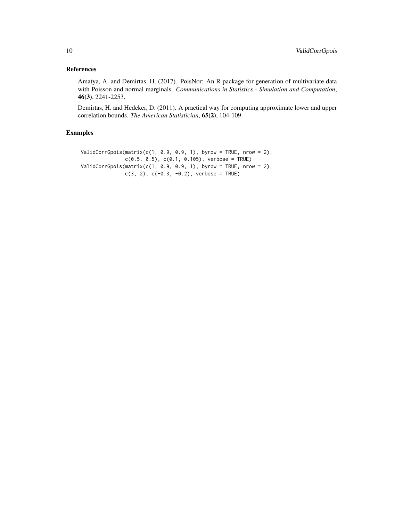# References

Amatya, A. and Demirtas, H. (2017). PoisNor: An R package for generation of multivariate data with Poisson and normal marginals. *Communications in Statistics - Simulation and Computation*, 46(3), 2241-2253.

Demirtas, H. and Hedeker, D. (2011). A practical way for computing approximate lower and upper correlation bounds. *The American Statistician*, 65(2), 104-109.

```
ValidCorrGpois(matrix(c(1, 0.9, 0.9, 1), byrow = TRUE, nrow = 2),
              c(0.5, 0.5), c(0.1, 0.105), verbose = TRUE)
ValidCorrGpois(matrix(c(1, 0.9, 0.9, 1), byrow = TRUE, nrow = 2),
              c(3, 2), c(-0.3, -0.2), verbose = TRUE)
```